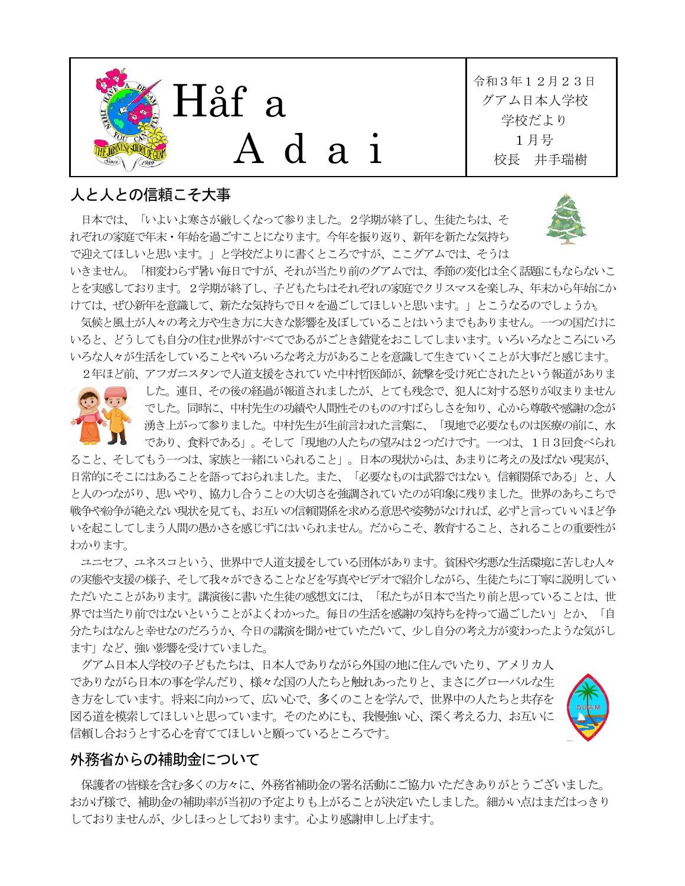

## 人と人との信頼こそ大事

 日本では、「いよいよ寒さが厳しくなって参りました。2学期が終了し、生徒たちは、そ れぞれの家庭で年末・年始を過ごすことになります。今年を振り返り、新年を新たな気持ち で迎えてほしいと思います。」と学校だよりに書くところですが、ここグアムでは、そうは



いきません。「相変わらず暑い毎日ですが、それが当たり前のグアムでは、季節の変化は全く話題にもならないこ とを実感しております。2学期が終了し、子どもたちはそれぞれの家庭でクリスマスを楽しみ、年末から年始にか けては、ぜひ新年を意識して、新たな気持ちで日々を過ごしてほしいと思います。」とこうなるのでしょうか。

気候と風土が人々の考え方や生き方に大きな影響を及ぼしていることはいうまでもありません。一つの国だけに いると、どうしても自分の住む世界がすべてであるがごとき錯覚をおこしてしまいます。いろいろなところにいろ いろな人々が生活をしていることやいろいろな考え方があることを意識して生きていくことが大事だと感じます。

2年ほど前、アフガニスタンで人道支援をされていた中村哲医師が、銃撃を受け死亡されたという報道がありま



した。連日、その後の経過が報道されましたが、とても残念で、犯人に対する怒りが収まりません でした。同時に、中村先生の功績や人間性そのもののすばらしさを知り、心から尊敬や感謝の念が 湧き上がって参りました。中村先生が生前言われた言葉に、「現地で必要なものは医療の前に、水 であり、食料である」。そして「現地の人たちの望みは2つだけです。一つは、1日3回食べられ

ること、そしてもう一つは、家族と一緒にいられること」。日本の現状からは、あまりに考えの及ばない現実が、 日常的にそこにはあることを語っておられました。また、「必要なものは武器ではない。信頼関係である」と、人 と人のつながり、思いやり、協力し合うことの大切さを強調されていたのが印象に残りました。世界のあちこちで 戦争や紛争が絶えない現状を見ても、お互いの信頼関係を求める意思や姿勢がなければ、必ずと言っていいほど争 いを起こしてしまう人間の愚かさを感じずにはいられません。だからこそ、教育すること、されることの重要性が わかります。

ユニセフ、ユネスコという、世界中で人道支援をしている団体があります。貧困や劣悪な生活環境に苦しむ人々 の実態や支援の様子、そして我々ができることなどを写真やビデオで紹介しながら、生徒たちに丁寧に説明してい ただいたことがあります。講演後に書いた生徒の感想文には、「私たちが日本で当たり前と思っていることは、世 界では当たり前ではないということがよくわかった。毎日の生活を感謝の気持ちを持って過ごしたい」とか、「自 分たちはなんと幸せなのだろうか、今日の講演を聞かせていただいて、少し自分の考え方が変わったような気がし ます」など、強い影響を受けていました。

グアム日本人学校の子どもたちは、日本人でありながら外国の地に住んでいたり、アメリカ人 でありながら日本の事を学んだり、様々な国の人たちと触れあったりと、まさにグローバルな生 き方をしています。将来に向かって、広い心で、多くのことを学んで、世界中の人たちと共存を 図る道を模索してほしいと思っています。そのためにも、我慢強い心、深く考える力、お互いに 信頼し合おうとする心を育ててほしいと願っているところです。



## 外務省からの補助金について

保護者の皆様を含む多くの方々に、外務省補助金の署名活動にご協力いただきありがとうございました。 おかげ様で、補助金の補助率が当初の予定よりも上がることが決定いたしました。細かい点はまだはっきり しておりませんが、少しほっとしております。心より感謝申し上げます。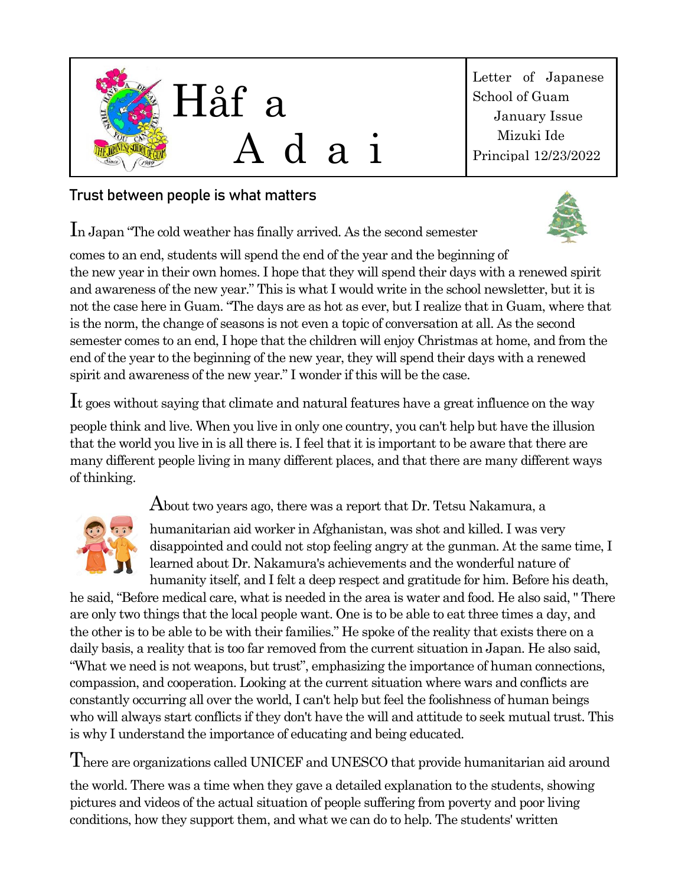

Letter of Japanese School of Guam January Issue Mizuki Ide Principal 12/23/2022

## **Trust between people is what matters**

In Japan "The cold weather has finally arrived. As the second semester

comes to an end, students will spend the end of the year and the beginning of the new year in their own homes. I hope that they will spend their days with a renewed spirit and awareness of the new year." This is what I would write in the school newsletter, but it is not the case here in Guam. "The days are as hot as ever, but I realize that in Guam, where that is the norm, the change of seasons is not even a topic of conversation at all. As the second semester comes to an end, I hope that the children will enjoy Christmas at home, and from the end of the year to the beginning of the new year, they will spend their days with a renewed spirit and awareness of the new year." I wonder if this will be the case.

It goes without saying that climate and natural features have a great influence on the way people think and live. When you live in only one country, you can't help but have the illusion that the world you live in is all there is. I feel that it is important to be aware that there are many different people living in many different places, and that there are many different ways of thinking.

About two years ago, there was a report that Dr. Tetsu Nakamura, a



humanitarian aid worker in Afghanistan, was shot and killed. I was very disappointed and could not stop feeling angry at the gunman. At the same time, I learned about Dr. Nakamura's achievements and the wonderful nature of humanity itself, and I felt a deep respect and gratitude for him. Before his death,

he said, "Before medical care, what is needed in the area is water and food. He also said, " There are only two things that the local people want. One is to be able to eat three times a day, and the other is to be able to be with their families." He spoke of the reality that exists there on a daily basis, a reality that is too far removed from the current situation in Japan. He also said, "What we need is not weapons, but trust", emphasizing the importance of human connections, compassion, and cooperation. Looking at the current situation where wars and conflicts are constantly occurring all over the world, I can't help but feel the foolishness of human beings who will always start conflicts if they don't have the will and attitude to seek mutual trust. This is why I understand the importance of educating and being educated.

There are organizations called UNICEF and UNESCO that provide humanitarian aid around

the world. There was a time when they gave a detailed explanation to the students, showing pictures and videos of the actual situation of people suffering from poverty and poor living conditions, how they support them, and what we can do to help. The students' written